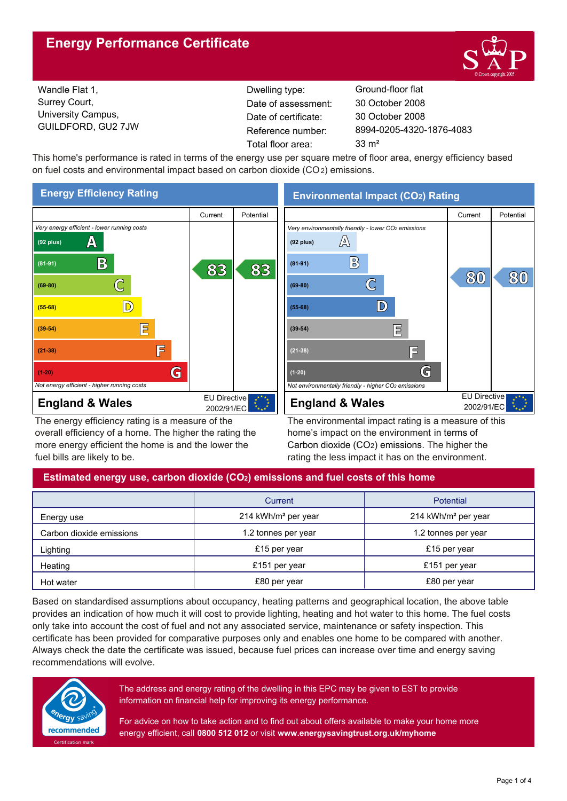## **Energy Performance Certificate**



Wandle Flat 1, Surrey Court, University Campus, GUILDFORD, GU2 7JW

Dwelling type: Ground-floor flat Date of certificate: Total floor area: 33 m<sup>2</sup> Date of assessment:

8994-0205-4320-1876-4083 30 October 2008 30 October 2008

This home's performance is rated in terms of the energy use per square metre of floor area, energy efficiency based on fuel costs and environmental impact based on carbon dioxide (CO2) emissions.



The energy efficiency rating is a measure of the overall efficiency of a home. The higher the rating the more energy efficient the home is and the lower the fuel bills are likely to be.



The environmental impact rating is a measure of this home's impact on the environment in terms of Carbon dioxide (CO2) emissions. The higher the rating the less impact it has on the environment.

## **Estimated energy use, carbon dioxide (CO2) emissions and fuel costs of this home**

|                          | Current                         | Potential                       |  |
|--------------------------|---------------------------------|---------------------------------|--|
| Energy use               | 214 kWh/m <sup>2</sup> per year | 214 kWh/m <sup>2</sup> per year |  |
| Carbon dioxide emissions | 1.2 tonnes per year             | 1.2 tonnes per year             |  |
| Lighting                 | £15 per year                    | £15 per year                    |  |
| Heating                  | £151 per year                   | £151 per year                   |  |
| Hot water                | £80 per year                    | £80 per year                    |  |

Based on standardised assumptions about occupancy, heating patterns and geographical location, the above table provides an indication of how much it will cost to provide lighting, heating and hot water to this home. The fuel costs only take into account the cost of fuel and not any associated service, maintenance or safety inspection. This certificate has been provided for comparative purposes only and enables one home to be compared with another. Always check the date the certificate was issued, because fuel prices can increase over time and energy saving recommendations will evolve.



The address and energy rating of the dwelling in this EPC may be given to EST to provide information on financial help for improving its energy performance.

For advice on how to take action and to find out about offers available to make your home more energy efficient, call **0800 512 012** or visit **www.energysavingtrust.org.uk/myhome**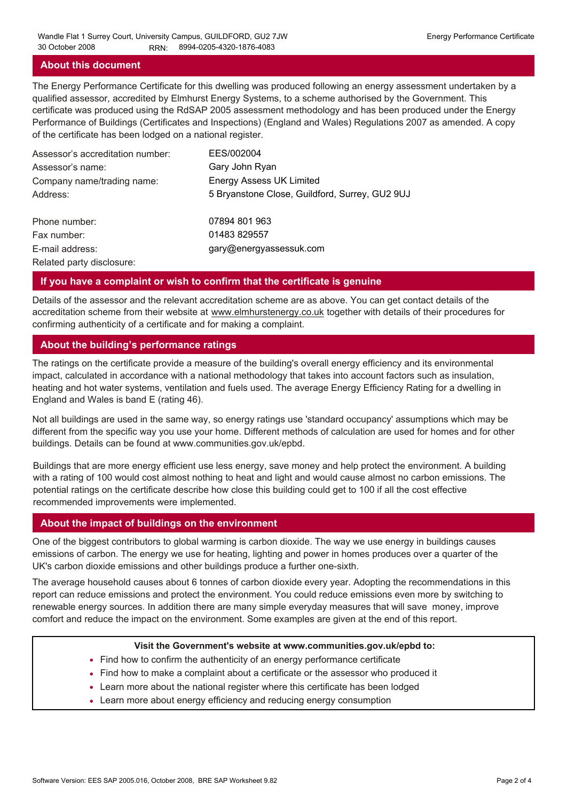#### **About this document**

The Energy Performance Certificate for this dwelling was produced following an energy assessment undertaken by a qualified assessor, accredited by Elmhurst Energy Systems, to a scheme authorised by the Government. This certificate was produced using the RdSAP 2005 assessment methodology and has been produced under the Energy Performance of Buildings (Certificates and Inspections) (England and Wales) Regulations 2007 as amended. A copy of the certificate has been lodged on a national register.

| Assessor's accreditation number: | EES/002004                                     |
|----------------------------------|------------------------------------------------|
| Assessor's name:                 | Gary John Ryan                                 |
| Company name/trading name:       | <b>Energy Assess UK Limited</b>                |
| Address:                         | 5 Bryanstone Close, Guildford, Surrey, GU2 9UJ |
| Phone number:                    | 07894 801 963                                  |
| Fax number:                      | 01483 829557                                   |
| E-mail address:                  | gary@energyassessuk.com                        |
| Related party disclosure:        |                                                |

#### **If you have a complaint or wish to confirm that the certificate is genuine**

Details of the assessor and the relevant accreditation scheme are as above. You can get contact details of the accreditation scheme from their website at www.elmhurstenergy.co.uk together with details of their procedures for confirming authenticity of a certificate and for making a complaint.

#### **About the building's performance ratings**

The ratings on the certificate provide a measure of the building's overall energy efficiency and its environmental impact, calculated in accordance with a national methodology that takes into account factors such as insulation, heating and hot water systems, ventilation and fuels used. The average Energy Efficiency Rating for a dwelling in England and Wales is band E (rating 46).

Not all buildings are used in the same way, so energy ratings use 'standard occupancy' assumptions which may be different from the specific way you use your home. Different methods of calculation are used for homes and for other buildings. Details can be found at www.communities.gov.uk/epbd.

Buildings that are more energy efficient use less energy, save money and help protect the environment. A building with a rating of 100 would cost almost nothing to heat and light and would cause almost no carbon emissions. The potential ratings on the certificate describe how close this building could get to 100 if all the cost effective recommended improvements were implemented.

#### **About the impact of buildings on the environment**

One of the biggest contributors to global warming is carbon dioxide. The way we use energy in buildings causes emissions of carbon. The energy we use for heating, lighting and power in homes produces over a quarter of the UK's carbon dioxide emissions and other buildings produce a further one-sixth.

The average household causes about 6 tonnes of carbon dioxide every year. Adopting the recommendations in this report can reduce emissions and protect the environment. You could reduce emissions even more by switching to renewable energy sources. In addition there are many simple everyday measures that will save money, improve comfort and reduce the impact on the environment. Some examples are given at the end of this report.

#### **Visit the Government's website at www.communities.gov.uk/epbd to:**

- Find how to confirm the authenticity of an energy performance certificate
- Find how to make a complaint about a certificate or the assessor who produced it •
- Learn more about the national register where this certificate has been lodged •
- Learn more about energy efficiency and reducing energy consumption •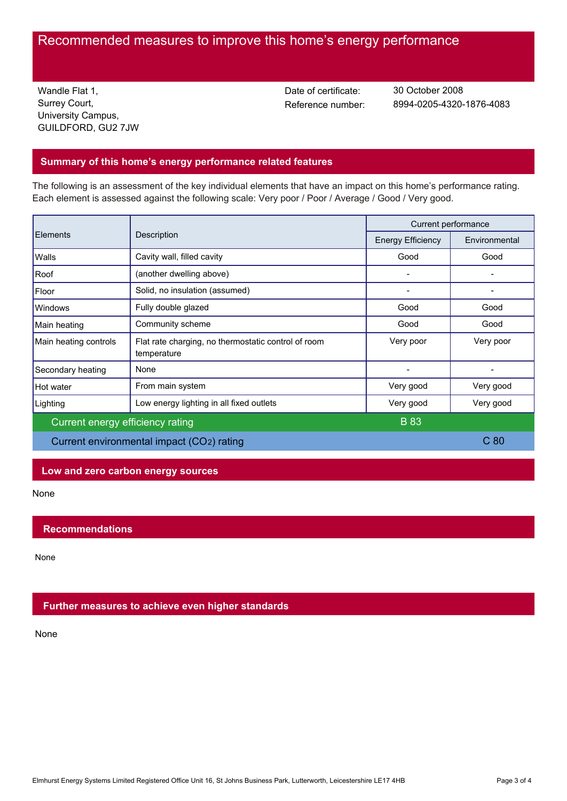# Recommended measures to improve this home's energy performance

Wandle Flat 1, Surrey Court, University Campus, GUILDFORD, GU2 7JW Date of certificate:

Reference number: 8994-0205-4320-1876-4083 30 October 2008

## **Summary of this home's energy performance related features**

The following is an assessment of the key individual elements that have an impact on this home's performance rating. Each element is assessed against the following scale: Very poor / Poor / Average / Good / Very good.

| <b>Elements</b>                           | Description                                                        | Current performance      |                 |
|-------------------------------------------|--------------------------------------------------------------------|--------------------------|-----------------|
|                                           |                                                                    | <b>Energy Efficiency</b> | Environmental   |
| Walls                                     | Cavity wall, filled cavity                                         | Good                     | Good            |
| Roof                                      | (another dwelling above)                                           |                          |                 |
| Floor                                     | Solid, no insulation (assumed)                                     |                          |                 |
| Windows                                   | Fully double glazed                                                | Good                     | Good            |
| Main heating                              | Community scheme                                                   | Good                     | Good            |
| Main heating controls                     | Flat rate charging, no thermostatic control of room<br>temperature | Very poor                | Very poor       |
| Secondary heating                         | None                                                               |                          |                 |
| Hot water                                 | From main system                                                   | Very good                | Very good       |
| Lighting                                  | Low energy lighting in all fixed outlets                           | Very good                | Very good       |
| Current energy efficiency rating          |                                                                    | <b>B</b> 83              |                 |
| Current environmental impact (CO2) rating |                                                                    |                          | C <sub>80</sub> |

## **Low and zero carbon energy sources**

None

## **Recommendations**

None

## **Further measures to achieve even higher standards**

None